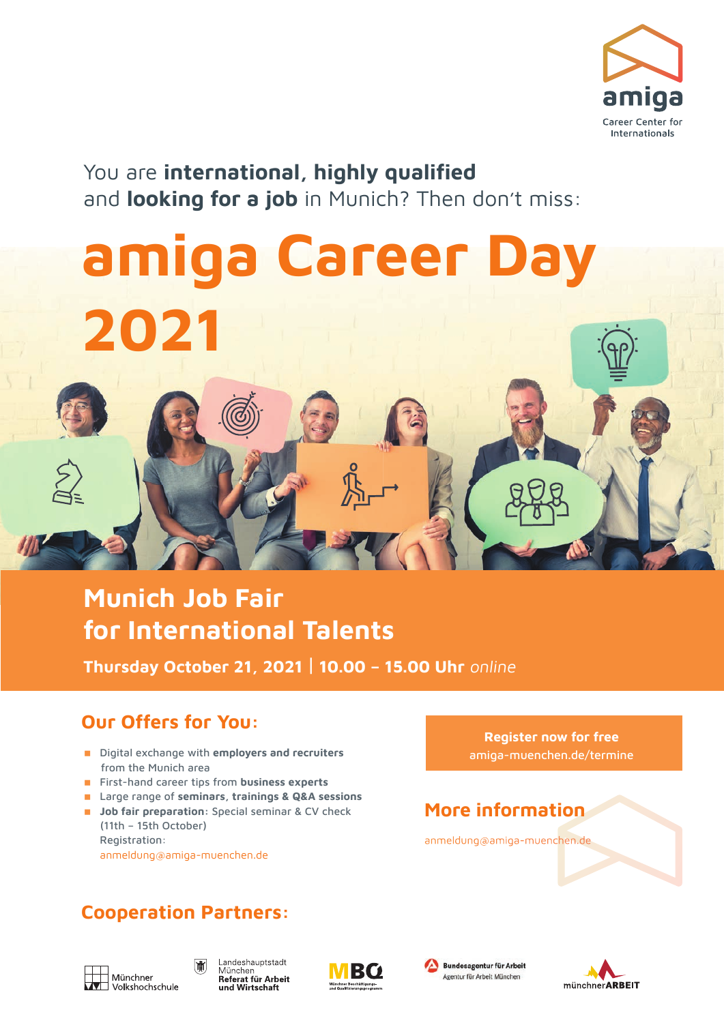

You are **international, highly qualified** and **looking for a job** in Munich? Then don't miss:

# **amiga Career Day 2021**

## **Munich Job Fair for International Talents**

**Thursday October 21, 2021** | **10.00 – 15.00 Uhr** online

## **Our Offers for You:**

- Digital exchange with **employers and recruiters** from the Munich area
- **First-hand career tips from business experts**
- Large range of **seminars, trainings & Q&A sessions**
- **Job fair preparation:** Special seminar & CV check (11th – 15th October) Registration: anmeldung@amiga-muenchen.de

## **Cooperation Partners:**







**Register now for free** amiga-muenchen.de/termine

## **More information**

anmeldung@amiga-muenchen.de

Bundesagentur für Arbeit

Agentur für Arbeit München